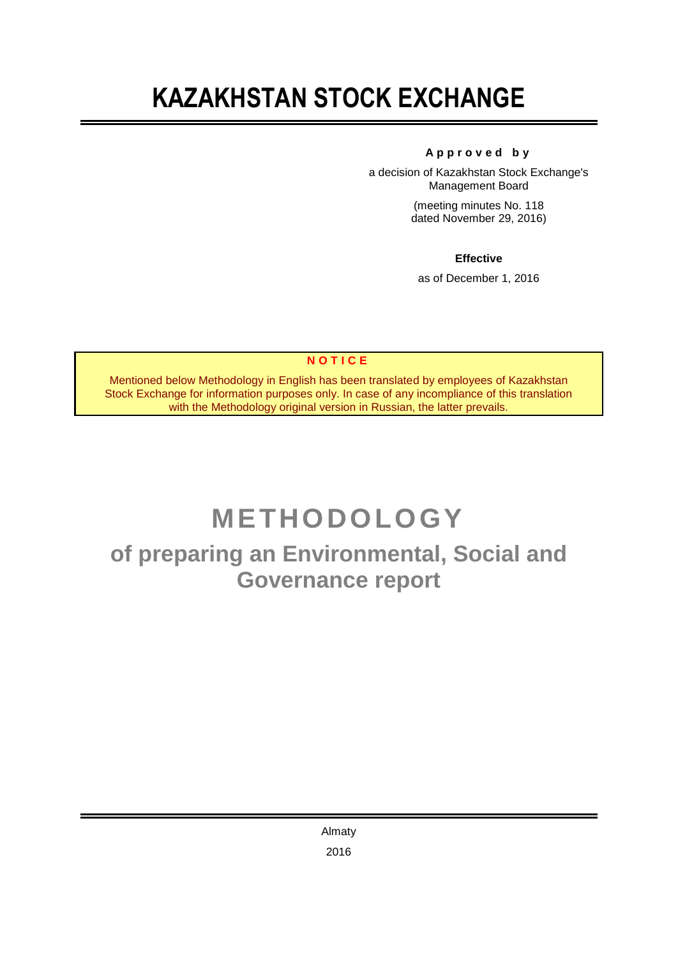# **KAZAKHSTAN STOCK EXCHANGE**

# **A p p r o v e d b y**

a decision of Kazakhstan Stock Exchange's Management Board

> (meeting minutes No. 118 dated November 29, 2016)

# **Effective**

as of December 1, 2016

# **N O T I C E**

Mentioned below Methodology in English has been translated by employees of Kazakhstan Stock Exchange for information purposes only. In case of any incompliance of this translation with the Methodology original version in Russian, the latter prevails.

# **METHODOLOGY**

**of preparing an Environmental, Social and Governance report**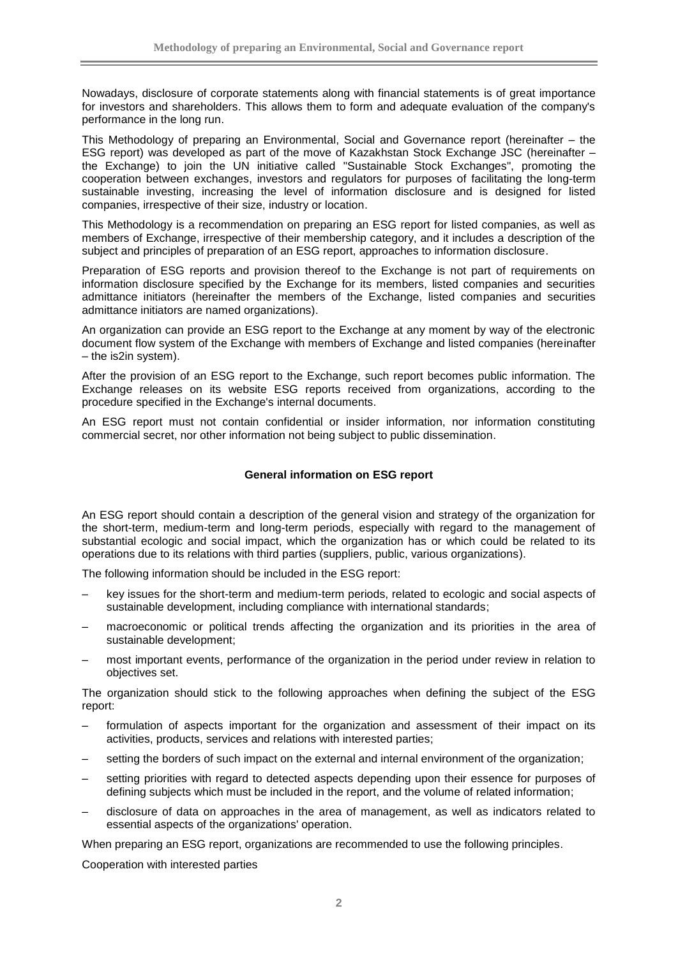Nowadays, disclosure of corporate statements along with financial statements is of great importance for investors and shareholders. This allows them to form and adequate evaluation of the company's performance in the long run.

This Methodology of preparing an Environmental, Social and Governance report (hereinafter – the ESG report) was developed as part of the move of Kazakhstan Stock Exchange JSC (hereinafter – the Exchange) to join the UN initiative called "Sustainable Stock Exchanges", promoting the cooperation between exchanges, investors and regulators for purposes of facilitating the long-term sustainable investing, increasing the level of information disclosure and is designed for listed companies, irrespective of their size, industry or location.

This Methodology is a recommendation on preparing an ESG report for listed companies, as well as members of Exchange, irrespective of their membership category, and it includes a description of the subject and principles of preparation of an ESG report, approaches to information disclosure.

Preparation of ESG reports and provision thereof to the Exchange is not part of requirements on information disclosure specified by the Exchange for its members, listed companies and securities admittance initiators (hereinafter the members of the Exchange, listed companies and securities admittance initiators are named organizations).

An organization can provide an ESG report to the Exchange at any moment by way of the electronic document flow system of the Exchange with members of Exchange and listed companies (hereinafter – the is2in system).

After the provision of an ESG report to the Exchange, such report becomes public information. The Exchange releases on its website ESG reports received from organizations, according to the procedure specified in the Exchange's internal documents.

An ESG report must not contain confidential or insider information, nor information constituting commercial secret, nor other information not being subject to public dissemination.

## **General information on ESG report**

An ESG report should contain a description of the general vision and strategy of the organization for the short-term, medium-term and long-term periods, especially with regard to the management of substantial ecologic and social impact, which the organization has or which could be related to its operations due to its relations with third parties (suppliers, public, various organizations).

The following information should be included in the ESG report:

- key issues for the short-term and medium-term periods, related to ecologic and social aspects of sustainable development, including compliance with international standards;
- macroeconomic or political trends affecting the organization and its priorities in the area of sustainable development;
- most important events, performance of the organization in the period under review in relation to objectives set.

The organization should stick to the following approaches when defining the subject of the ESG report:

- formulation of aspects important for the organization and assessment of their impact on its activities, products, services and relations with interested parties;
- setting the borders of such impact on the external and internal environment of the organization;
- setting priorities with regard to detected aspects depending upon their essence for purposes of defining subjects which must be included in the report, and the volume of related information;
- disclosure of data on approaches in the area of management, as well as indicators related to essential aspects of the organizations' operation.

When preparing an ESG report, organizations are recommended to use the following principles.

Cooperation with interested parties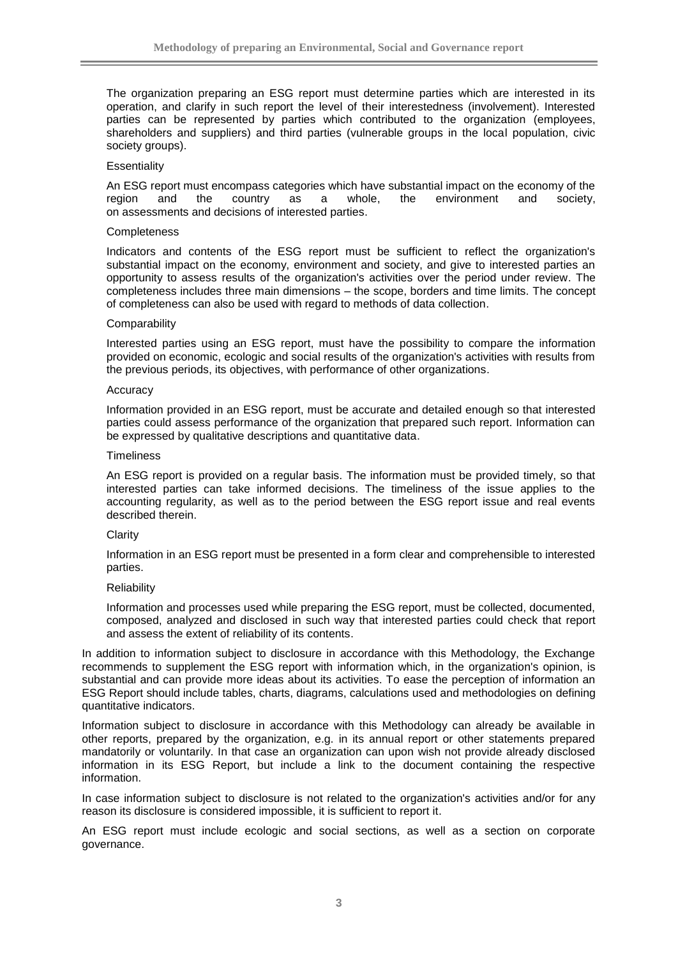The organization preparing an ESG report must determine parties which are interested in its operation, and clarify in such report the level of their interestedness (involvement). Interested parties can be represented by parties which contributed to the organization (employees, shareholders and suppliers) and third parties (vulnerable groups in the local population, civic society groups).

#### **Essentiality**

An ESG report must encompass categories which have substantial impact on the economy of the region and the country as a whole, the environment and society, on assessments and decisions of interested parties.

#### **Completeness**

Indicators and contents of the ESG report must be sufficient to reflect the organization's substantial impact on the economy, environment and society, and give to interested parties an opportunity to assess results of the organization's activities over the period under review. The completeness includes three main dimensions – the scope, borders and time limits. The concept of completeness can also be used with regard to methods of data collection.

#### **Comparability**

Interested parties using an ESG report, must have the possibility to compare the information provided on economic, ecologic and social results of the organization's activities with results from the previous periods, its objectives, with performance of other organizations.

#### Accuracy

Information provided in an ESG report, must be accurate and detailed enough so that interested parties could assess performance of the organization that prepared such report. Information can be expressed by qualitative descriptions and quantitative data.

#### **Timeliness**

An ESG report is provided on a regular basis. The information must be provided timely, so that interested parties can take informed decisions. The timeliness of the issue applies to the accounting regularity, as well as to the period between the ESG report issue and real events described therein.

#### **Clarity**

Information in an ESG report must be presented in a form clear and comprehensible to interested parties.

#### **Reliability**

Information and processes used while preparing the ESG report, must be collected, documented, composed, analyzed and disclosed in such way that interested parties could check that report and assess the extent of reliability of its contents.

In addition to information subject to disclosure in accordance with this Methodology, the Exchange recommends to supplement the ESG report with information which, in the organization's opinion, is substantial and can provide more ideas about its activities. To ease the perception of information an ESG Report should include tables, charts, diagrams, calculations used and methodologies on defining quantitative indicators.

Information subject to disclosure in accordance with this Methodology can already be available in other reports, prepared by the organization, e.g. in its annual report or other statements prepared mandatorily or voluntarily. In that case an organization can upon wish not provide already disclosed information in its ESG Report, but include a link to the document containing the respective information.

In case information subject to disclosure is not related to the organization's activities and/or for any reason its disclosure is considered impossible, it is sufficient to report it.

An ESG report must include ecologic and social sections, as well as a section on corporate governance.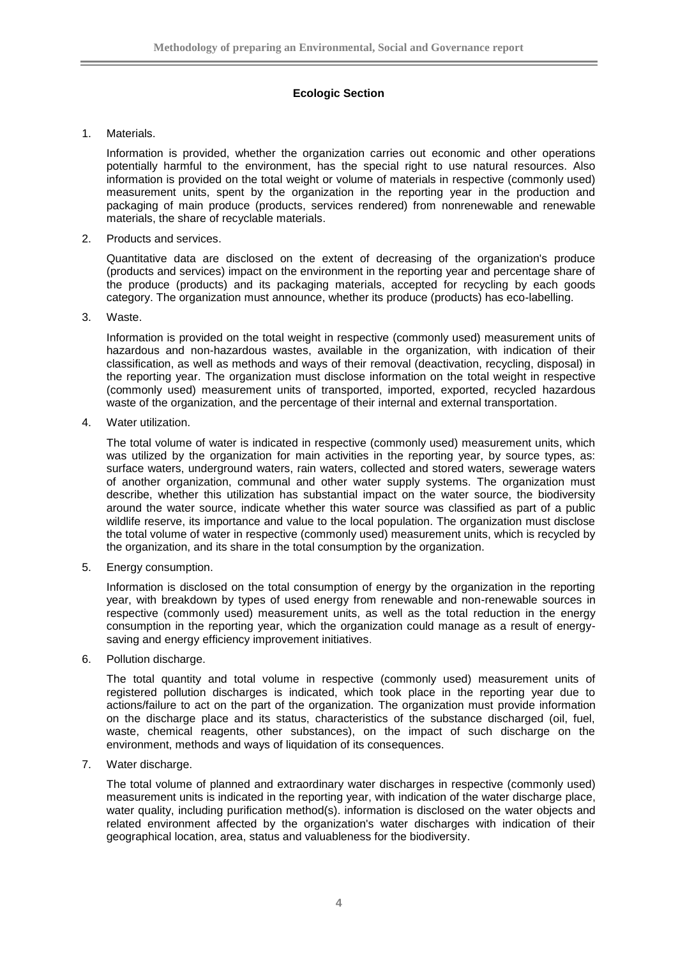# **Ecologic Section**

## 1. Materials.

Information is provided, whether the organization carries out economic and other operations potentially harmful to the environment, has the special right to use natural resources. Also information is provided on the total weight or volume of materials in respective (commonly used) measurement units, spent by the organization in the reporting year in the production and packaging of main produce (products, services rendered) from nonrenewable and renewable materials, the share of recyclable materials.

2. Products and services.

Quantitative data are disclosed on the extent of decreasing of the organization's produce (products and services) impact on the environment in the reporting year and percentage share of the produce (products) and its packaging materials, accepted for recycling by each goods category. The organization must announce, whether its produce (products) has eco-labelling.

## 3. Waste.

Information is provided on the total weight in respective (commonly used) measurement units of hazardous and non-hazardous wastes, available in the organization, with indication of their classification, as well as methods and ways of their removal (deactivation, recycling, disposal) in the reporting year. The organization must disclose information on the total weight in respective (commonly used) measurement units of transported, imported, exported, recycled hazardous waste of the organization, and the percentage of their internal and external transportation.

4. Water utilization.

The total volume of water is indicated in respective (commonly used) measurement units, which was utilized by the organization for main activities in the reporting year, by source types, as: surface waters, underground waters, rain waters, collected and stored waters, sewerage waters of another organization, communal and other water supply systems. The organization must describe, whether this utilization has substantial impact on the water source, the biodiversity around the water source, indicate whether this water source was classified as part of a public wildlife reserve, its importance and value to the local population. The organization must disclose the total volume of water in respective (commonly used) measurement units, which is recycled by the organization, and its share in the total consumption by the organization.

5. Energy consumption.

Information is disclosed on the total consumption of energy by the organization in the reporting year, with breakdown by types of used energy from renewable and non-renewable sources in respective (commonly used) measurement units, as well as the total reduction in the energy consumption in the reporting year, which the organization could manage as a result of energysaving and energy efficiency improvement initiatives.

6. Pollution discharge.

The total quantity and total volume in respective (commonly used) measurement units of registered pollution discharges is indicated, which took place in the reporting year due to actions/failure to act on the part of the organization. The organization must provide information on the discharge place and its status, characteristics of the substance discharged (oil, fuel, waste, chemical reagents, other substances), on the impact of such discharge on the environment, methods and ways of liquidation of its consequences.

7. Water discharge.

The total volume of planned and extraordinary water discharges in respective (commonly used) measurement units is indicated in the reporting year, with indication of the water discharge place, water quality, including purification method(s). information is disclosed on the water objects and related environment affected by the organization's water discharges with indication of their geographical location, area, status and valuableness for the biodiversity.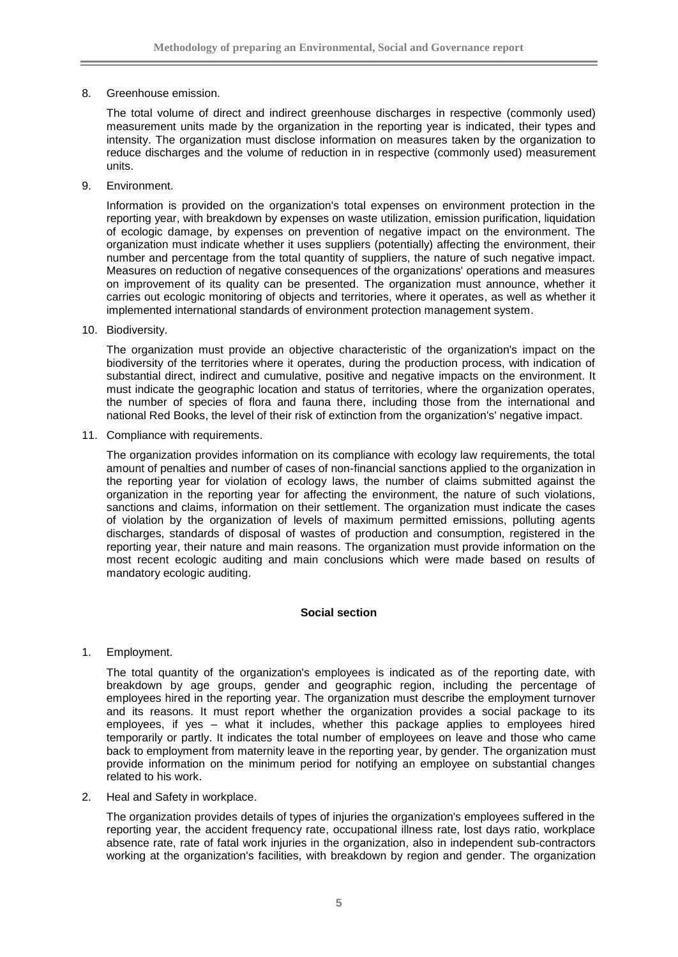8. Greenhouse emission.

The total volume of direct and indirect greenhouse discharges in respective (commonly used) measurement units made by the organization in the reporting year is indicated, their types and intensity. The organization must disclose information on measures taken by the organization to reduce discharges and the volume of reduction in in respective (commonly used) measurement units.

9. Environment.

Information is provided on the organization's total expenses on environment protection in the reporting year, with breakdown by expenses on waste utilization, emission purification, liquidation of ecologic damage, by expenses on prevention of negative impact on the environment. The organization must indicate whether it uses suppliers (potentially) affecting the environment, their number and percentage from the total quantity of suppliers, the nature of such negative impact. Measures on reduction of negative consequences of the organizations' operations and measures on improvement of its quality can be presented. The organization must announce, whether it carries out ecologic monitoring of objects and territories, where it operates, as well as whether it implemented international standards of environment protection management system.

10. Biodiversity.

The organization must provide an objective characteristic of the organization's impact on the biodiversity of the territories where it operates, during the production process, with indication of substantial direct, indirect and cumulative, positive and negative impacts on the environment. It must indicate the geographic location and status of territories, where the organization operates, the number of species of flora and fauna there, including those from the international and national Red Books, the level of their risk of extinction from the organization's' negative impact.

11. Compliance with requirements.

The organization provides information on its compliance with ecology law requirements, the total amount of penalties and number of cases of non-financial sanctions applied to the organization in the reporting year for violation of ecology laws, the number of claims submitted against the organization in the reporting year for affecting the environment, the nature of such violations, sanctions and claims, information on their settlement. The organization must indicate the cases of violation by the organization of levels of maximum permitted emissions, polluting agents discharges, standards of disposal of wastes of production and consumption, registered in the reporting year, their nature and main reasons. The organization must provide information on the most recent ecologic auditing and main conclusions which were made based on results of mandatory ecologic auditing.

### **Social section**

1. Employment.

The total quantity of the organization's employees is indicated as of the reporting date, with breakdown by age groups, gender and geographic region, including the percentage of employees hired in the reporting year. The organization must describe the employment turnover and its reasons. It must report whether the organization provides a social package to its employees, if yes – what it includes, whether this package applies to employees hired temporarily or partly. It indicates the total number of employees on leave and those who came back to employment from maternity leave in the reporting year, by gender. The organization must provide information on the minimum period for notifying an employee on substantial changes related to his work.

2. Heal and Safety in workplace.

The organization provides details of types of injuries the organization's employees suffered in the reporting year, the accident frequency rate, occupational illness rate, lost days ratio, workplace absence rate, rate of fatal work injuries in the organization, also in independent sub-contractors working at the organization's facilities, with breakdown by region and gender. The organization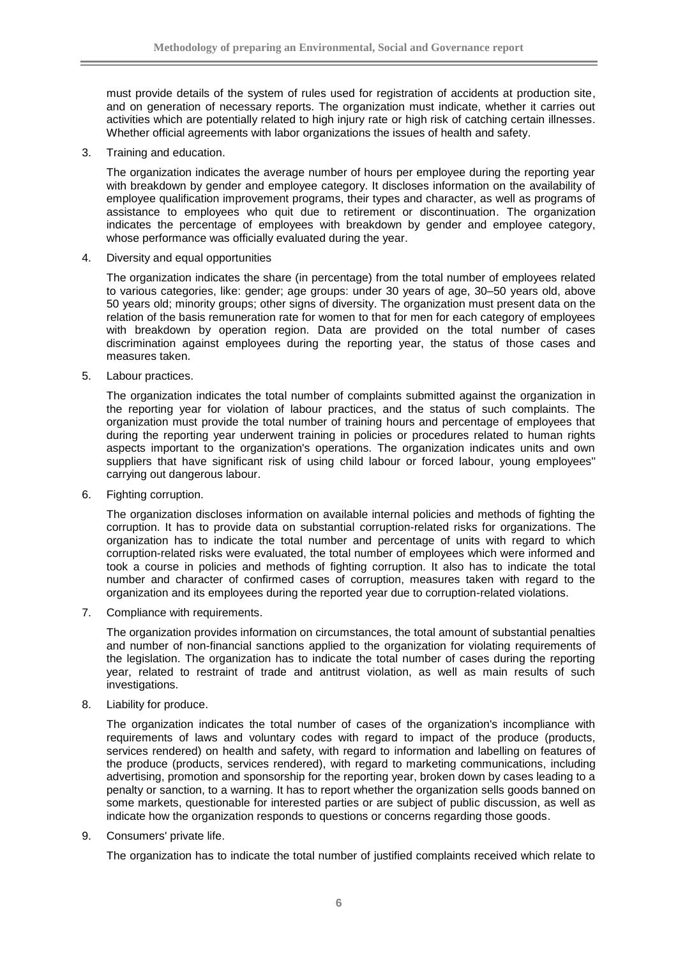must provide details of the system of rules used for registration of accidents at production site, and on generation of necessary reports. The organization must indicate, whether it carries out activities which are potentially related to high injury rate or high risk of catching certain illnesses. Whether official agreements with labor organizations the issues of health and safety.

3. Training and education.

The organization indicates the average number of hours per employee during the reporting year with breakdown by gender and employee category. It discloses information on the availability of employee qualification improvement programs, their types and character, as well as programs of assistance to employees who quit due to retirement or discontinuation. The organization indicates the percentage of employees with breakdown by gender and employee category, whose performance was officially evaluated during the year.

4. Diversity and equal opportunities

The organization indicates the share (in percentage) from the total number of employees related to various categories, like: gender; age groups: under 30 years of age, 30–50 years old, above 50 years old; minority groups; other signs of diversity. The organization must present data on the relation of the basis remuneration rate for women to that for men for each category of employees with breakdown by operation region. Data are provided on the total number of cases discrimination against employees during the reporting year, the status of those cases and measures taken.

5. Labour practices.

The organization indicates the total number of complaints submitted against the organization in the reporting year for violation of labour practices, and the status of such complaints. The organization must provide the total number of training hours and percentage of employees that during the reporting year underwent training in policies or procedures related to human rights aspects important to the organization's operations. The organization indicates units and own suppliers that have significant risk of using child labour or forced labour, young employees'' carrying out dangerous labour.

6. Fighting corruption.

The organization discloses information on available internal policies and methods of fighting the corruption. It has to provide data on substantial corruption-related risks for organizations. The organization has to indicate the total number and percentage of units with regard to which corruption-related risks were evaluated, the total number of employees which were informed and took a course in policies and methods of fighting corruption. It also has to indicate the total number and character of confirmed cases of corruption, measures taken with regard to the organization and its employees during the reported year due to corruption-related violations.

7. Compliance with requirements.

The organization provides information on circumstances, the total amount of substantial penalties and number of non-financial sanctions applied to the organization for violating requirements of the legislation. The organization has to indicate the total number of cases during the reporting year, related to restraint of trade and antitrust violation, as well as main results of such investigations.

8. Liability for produce.

The organization indicates the total number of cases of the organization's incompliance with requirements of laws and voluntary codes with regard to impact of the produce (products, services rendered) on health and safety, with regard to information and labelling on features of the produce (products, services rendered), with regard to marketing communications, including advertising, promotion and sponsorship for the reporting year, broken down by cases leading to a penalty or sanction, to a warning. It has to report whether the organization sells goods banned on some markets, questionable for interested parties or are subject of public discussion, as well as indicate how the organization responds to questions or concerns regarding those goods.

9. Consumers' private life.

The organization has to indicate the total number of justified complaints received which relate to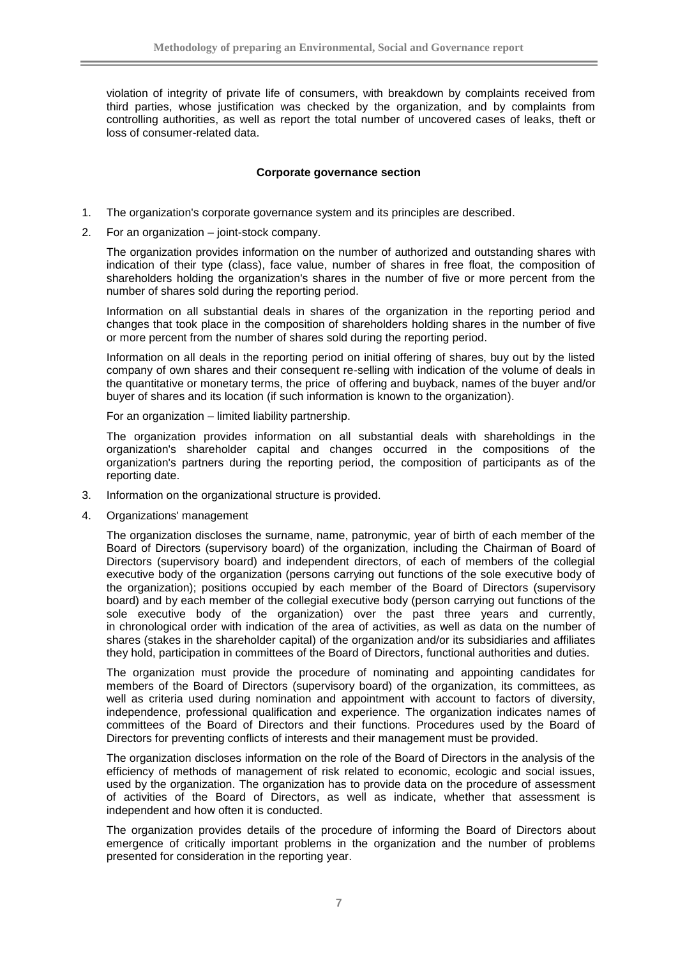violation of integrity of private life of consumers, with breakdown by complaints received from third parties, whose justification was checked by the organization, and by complaints from controlling authorities, as well as report the total number of uncovered cases of leaks, theft or loss of consumer-related data.

## **Corporate governance section**

- 1. The organization's corporate governance system and its principles are described.
- 2. For an organization joint-stock company.

The organization provides information on the number of authorized and outstanding shares with indication of their type (class), face value, number of shares in free float, the composition of shareholders holding the organization's shares in the number of five or more percent from the number of shares sold during the reporting period.

Information on all substantial deals in shares of the organization in the reporting period and changes that took place in the composition of shareholders holding shares in the number of five or more percent from the number of shares sold during the reporting period.

Information on all deals in the reporting period on initial offering of shares, buy out by the listed company of own shares and their consequent re-selling with indication of the volume of deals in the quantitative or monetary terms, the price of offering and buyback, names of the buyer and/or buyer of shares and its location (if such information is known to the organization).

For an organization – limited liability partnership.

The organization provides information on all substantial deals with shareholdings in the organization's shareholder capital and changes occurred in the compositions of the organization's partners during the reporting period, the composition of participants as of the reporting date.

- 3. Information on the organizational structure is provided.
- 4. Organizations' management

The organization discloses the surname, name, patronymic, year of birth of each member of the Board of Directors (supervisory board) of the organization, including the Chairman of Board of Directors (supervisory board) and independent directors, of each of members of the collegial executive body of the organization (persons carrying out functions of the sole executive body of the organization); positions occupied by each member of the Board of Directors (supervisory board) and by each member of the collegial executive body (person carrying out functions of the sole executive body of the organization) over the past three years and currently, in chronological order with indication of the area of activities, as well as data on the number of shares (stakes in the shareholder capital) of the organization and/or its subsidiaries and affiliates they hold, participation in committees of the Board of Directors, functional authorities and duties.

The organization must provide the procedure of nominating and appointing candidates for members of the Board of Directors (supervisory board) of the organization, its committees, as well as criteria used during nomination and appointment with account to factors of diversity, independence, professional qualification and experience. The organization indicates names of committees of the Board of Directors and their functions. Procedures used by the Board of Directors for preventing conflicts of interests and their management must be provided.

The organization discloses information on the role of the Board of Directors in the analysis of the efficiency of methods of management of risk related to economic, ecologic and social issues, used by the organization. The organization has to provide data on the procedure of assessment of activities of the Board of Directors, as well as indicate, whether that assessment is independent and how often it is conducted.

The organization provides details of the procedure of informing the Board of Directors about emergence of critically important problems in the organization and the number of problems presented for consideration in the reporting year.